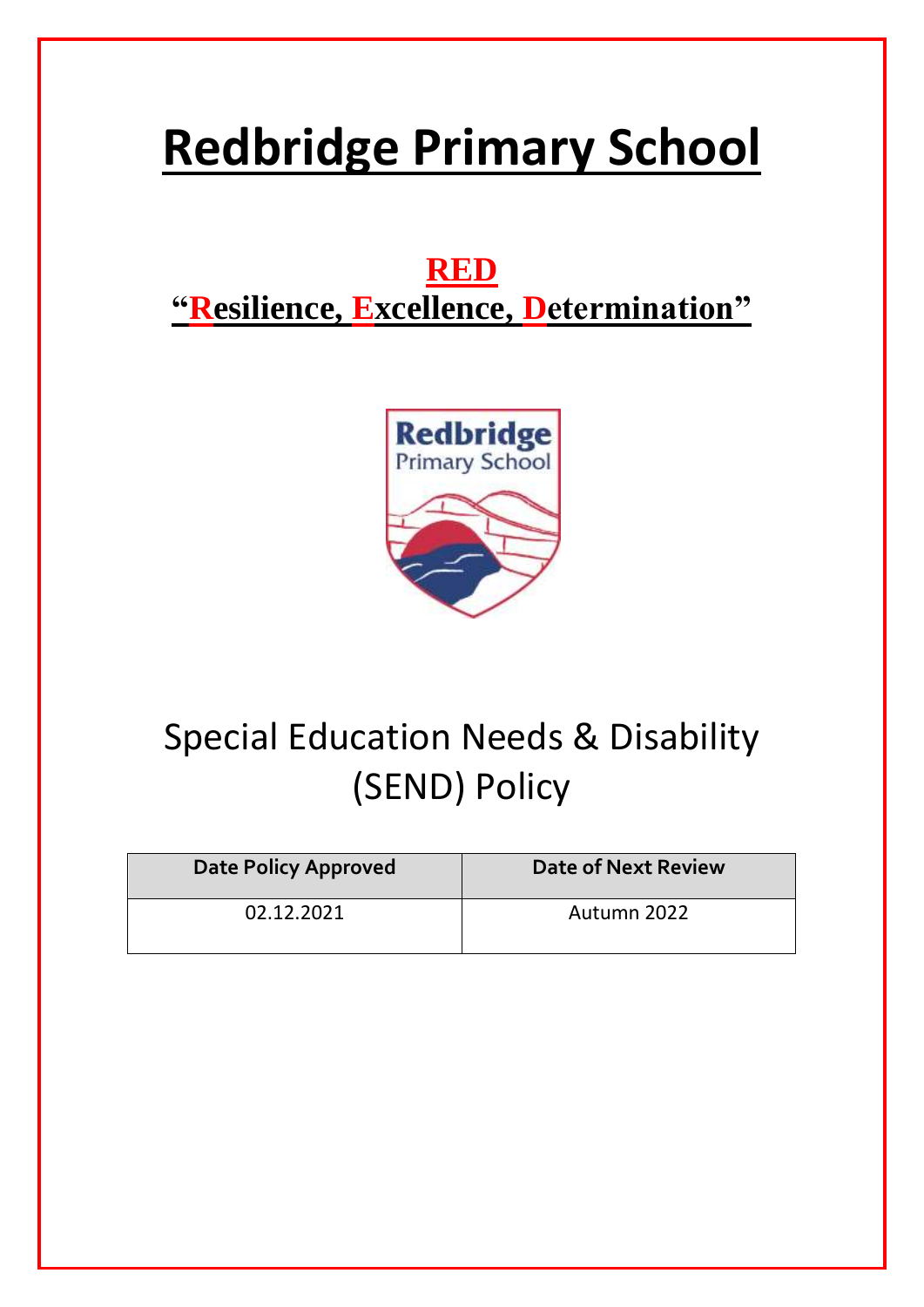# **Redbridge Primary School**

### **RED "Resilience, Excellence, Determination"**



## Special Education Needs & Disability (SEND) Policy

| <b>Date Policy Approved</b> | <b>Date of Next Review</b> |
|-----------------------------|----------------------------|
| 02.12.2021                  | Autumn 2022                |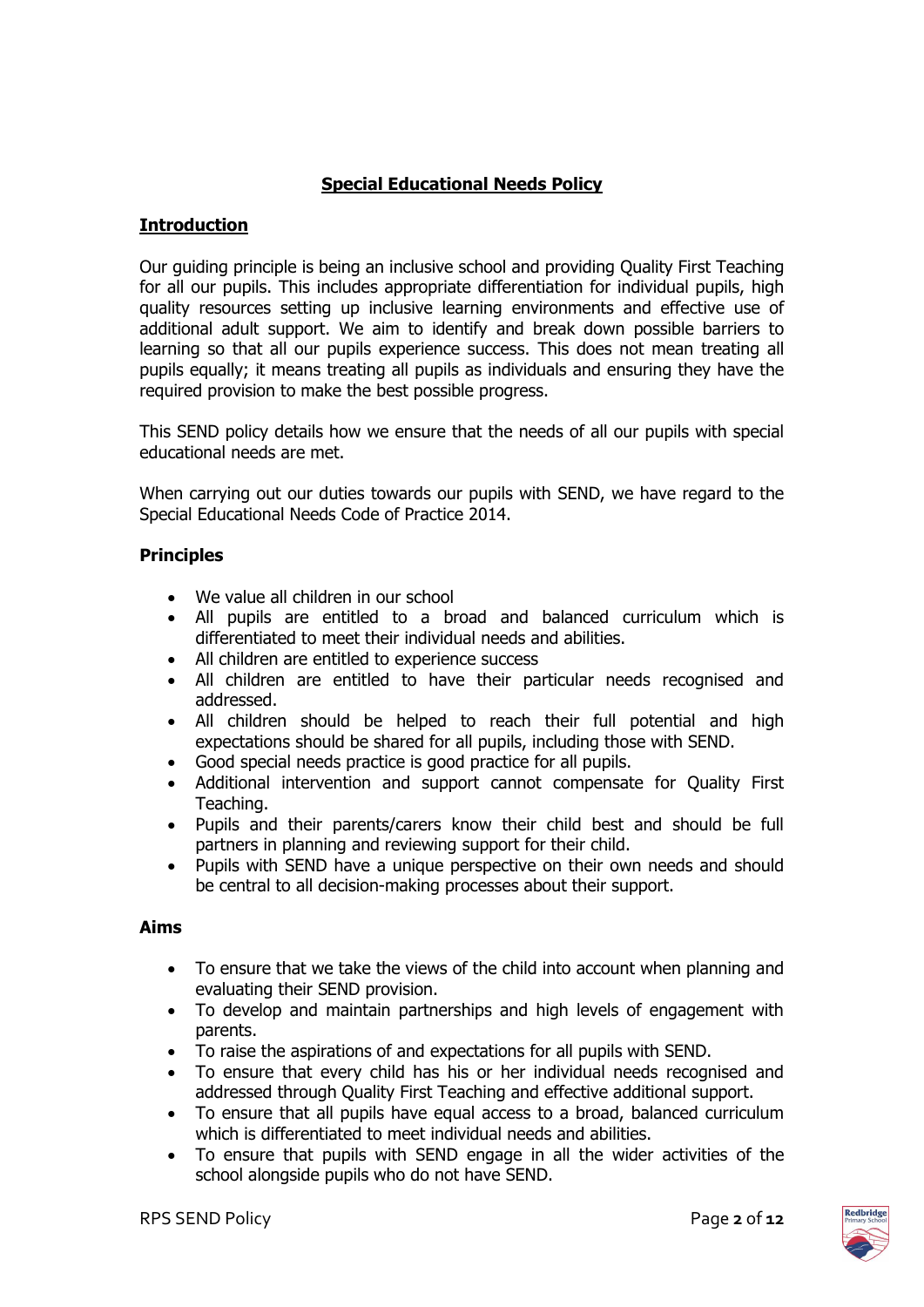#### **Special Educational Needs Policy**

#### **Introduction**

Our guiding principle is being an inclusive school and providing Quality First Teaching for all our pupils. This includes appropriate differentiation for individual pupils, high quality resources setting up inclusive learning environments and effective use of additional adult support. We aim to identify and break down possible barriers to learning so that all our pupils experience success. This does not mean treating all pupils equally; it means treating all pupils as individuals and ensuring they have the required provision to make the best possible progress.

This SEND policy details how we ensure that the needs of all our pupils with special educational needs are met.

When carrying out our duties towards our pupils with SEND, we have regard to the Special Educational Needs Code of Practice 2014.

#### **Principles**

- We value all children in our school
- All pupils are entitled to a broad and balanced curriculum which is differentiated to meet their individual needs and abilities.
- All children are entitled to experience success
- All children are entitled to have their particular needs recognised and addressed.
- All children should be helped to reach their full potential and high expectations should be shared for all pupils, including those with SEND.
- Good special needs practice is good practice for all pupils.
- Additional intervention and support cannot compensate for Quality First Teaching.
- Pupils and their parents/carers know their child best and should be full partners in planning and reviewing support for their child.
- Pupils with SEND have a unique perspective on their own needs and should be central to all decision-making processes about their support.

#### **Aims**

- To ensure that we take the views of the child into account when planning and evaluating their SEND provision.
- To develop and maintain partnerships and high levels of engagement with parents.
- To raise the aspirations of and expectations for all pupils with SEND.
- To ensure that every child has his or her individual needs recognised and addressed through Quality First Teaching and effective additional support.
- To ensure that all pupils have equal access to a broad, balanced curriculum which is differentiated to meet individual needs and abilities.
- To ensure that pupils with SEND engage in all the wider activities of the school alongside pupils who do not have SEND.

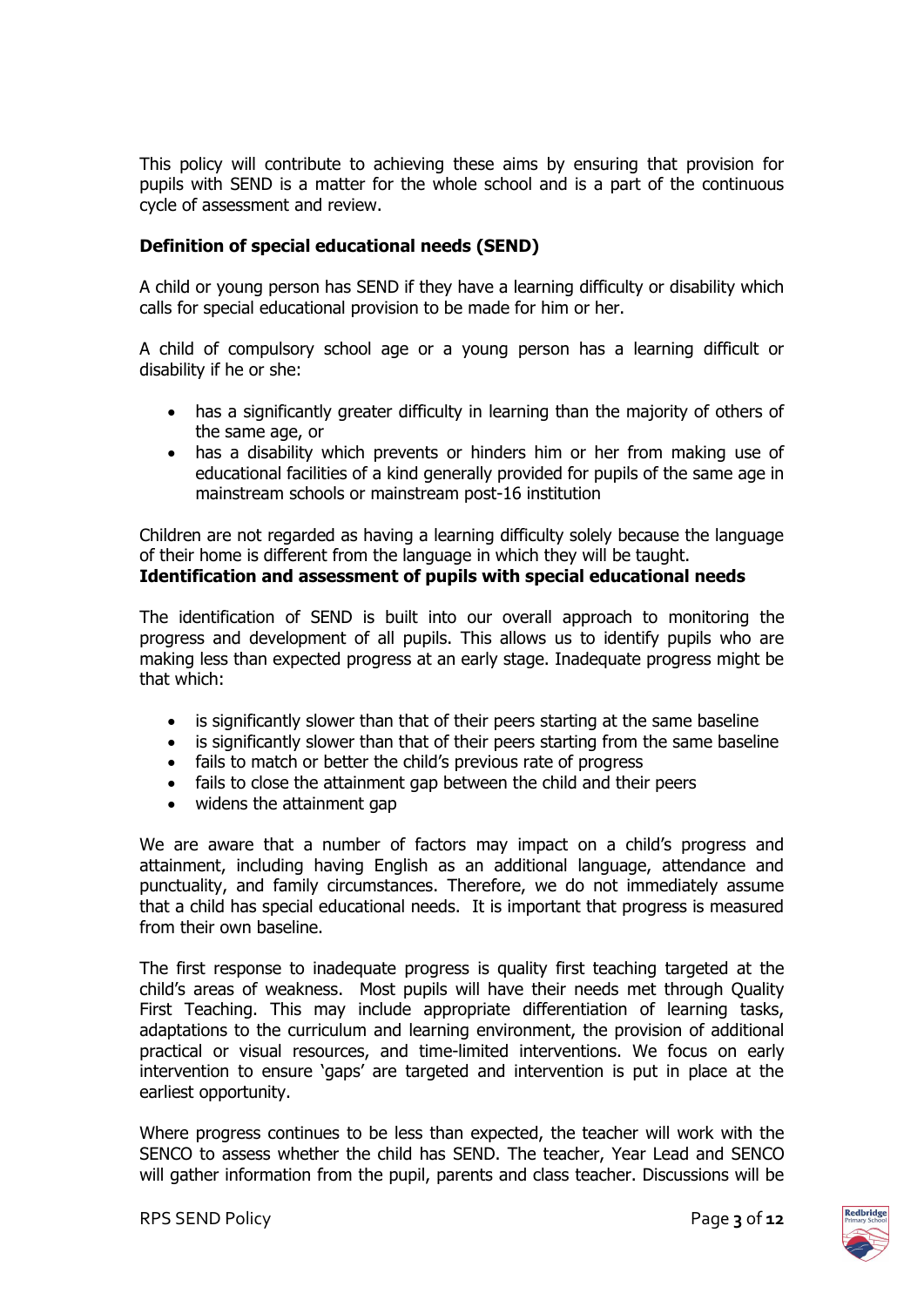This policy will contribute to achieving these aims by ensuring that provision for pupils with SEND is a matter for the whole school and is a part of the continuous cycle of assessment and review.

#### **Definition of special educational needs (SEND)**

A child or young person has SEND if they have a learning difficulty or disability which calls for special educational provision to be made for him or her.

A child of compulsory school age or a young person has a learning difficult or disability if he or she:

- has a significantly greater difficulty in learning than the majority of others of the same age, or
- has a disability which prevents or hinders him or her from making use of educational facilities of a kind generally provided for pupils of the same age in mainstream schools or mainstream post-16 institution

Children are not regarded as having a learning difficulty solely because the language of their home is different from the language in which they will be taught. **Identification and assessment of pupils with special educational needs**

The identification of SEND is built into our overall approach to monitoring the progress and development of all pupils. This allows us to identify pupils who are making less than expected progress at an early stage. Inadequate progress might be that which:

- is significantly slower than that of their peers starting at the same baseline
- is significantly slower than that of their peers starting from the same baseline
- fails to match or better the child's previous rate of progress
- fails to close the attainment gap between the child and their peers
- widens the attainment gap

We are aware that a number of factors may impact on a child's progress and attainment, including having English as an additional language, attendance and punctuality, and family circumstances. Therefore, we do not immediately assume that a child has special educational needs. It is important that progress is measured from their own baseline.

The first response to inadequate progress is quality first teaching targeted at the child's areas of weakness. Most pupils will have their needs met through Quality First Teaching. This may include appropriate differentiation of learning tasks, adaptations to the curriculum and learning environment, the provision of additional practical or visual resources, and time-limited interventions. We focus on early intervention to ensure 'gaps' are targeted and intervention is put in place at the earliest opportunity.

Where progress continues to be less than expected, the teacher will work with the SENCO to assess whether the child has SEND. The teacher, Year Lead and SENCO will gather information from the pupil, parents and class teacher. Discussions will be

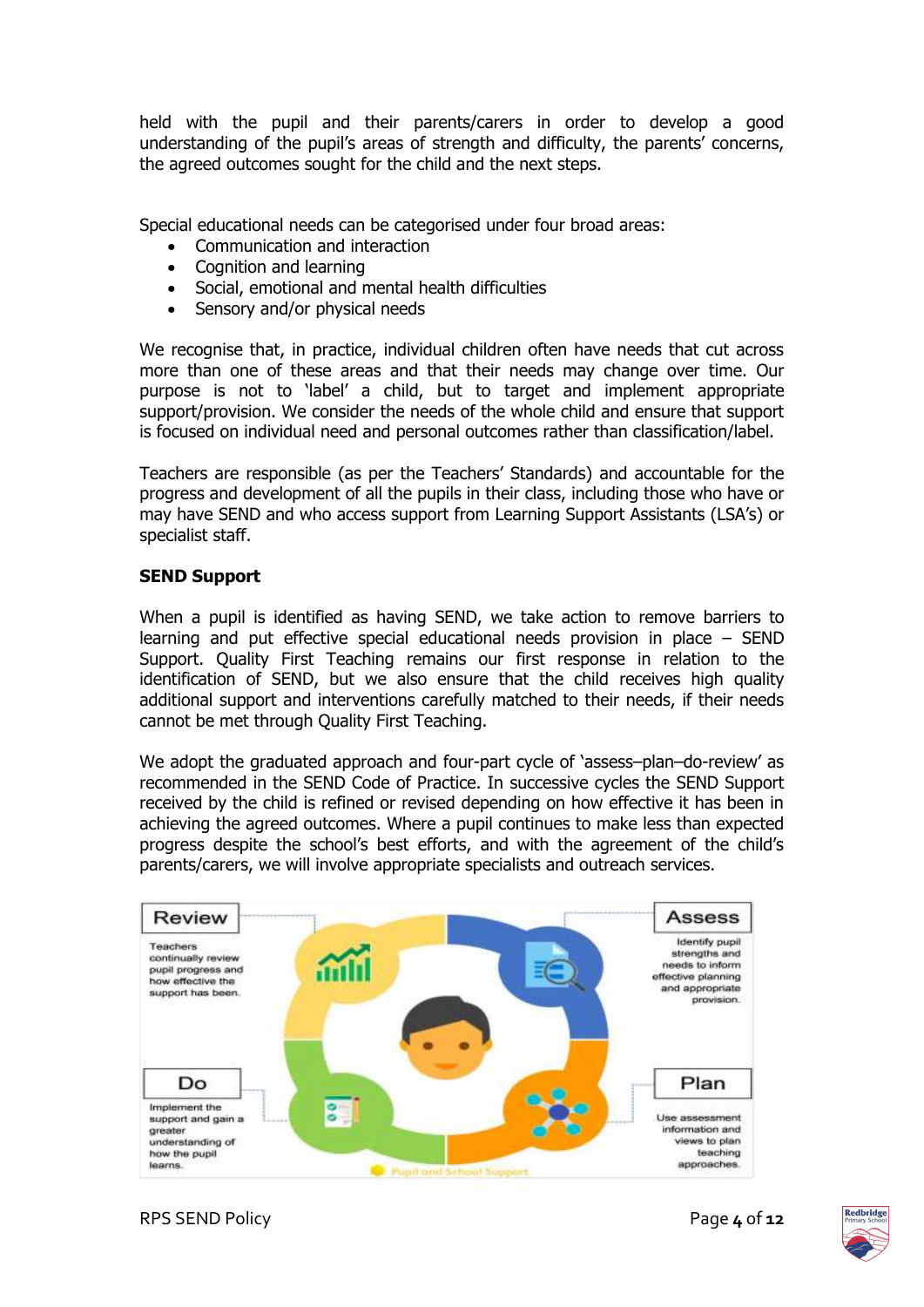held with the pupil and their parents/carers in order to develop a good understanding of the pupil's areas of strength and difficulty, the parents' concerns. the agreed outcomes sought for the child and the next steps.

Special educational needs can be categorised under four broad areas:

- Communication and interaction
- Cognition and learning
- Social, emotional and mental health difficulties
- Sensory and/or physical needs

We recognise that, in practice, individual children often have needs that cut across more than one of these areas and that their needs may change over time. Our purpose is not to 'label' a child, but to target and implement appropriate support/provision. We consider the needs of the whole child and ensure that support is focused on individual need and personal outcomes rather than classification/label.

Teachers are responsible (as per the Teachers' Standards) and accountable for the progress and development of all the pupils in their class, including those who have or may have SEND and who access support from Learning Support Assistants (LSA's) or specialist staff.

#### **SEND Support**

When a pupil is identified as having SEND, we take action to remove barriers to learning and put effective special educational needs provision in place – SEND Support. Quality First Teaching remains our first response in relation to the identification of SEND, but we also ensure that the child receives high quality additional support and interventions carefully matched to their needs, if their needs cannot be met through Quality First Teaching.

We adopt the graduated approach and four-part cycle of 'assess-plan-do-review' as recommended in the SEND Code of Practice. In successive cycles the SEND Support received by the child is refined or revised depending on how effective it has been in achieving the agreed outcomes. Where a pupil continues to make less than expected progress despite the school's best efforts, and with the agreement of the child's parents/carers, we will involve appropriate specialists and outreach services.



RPS SEND Policy **Page 4** of **12** 

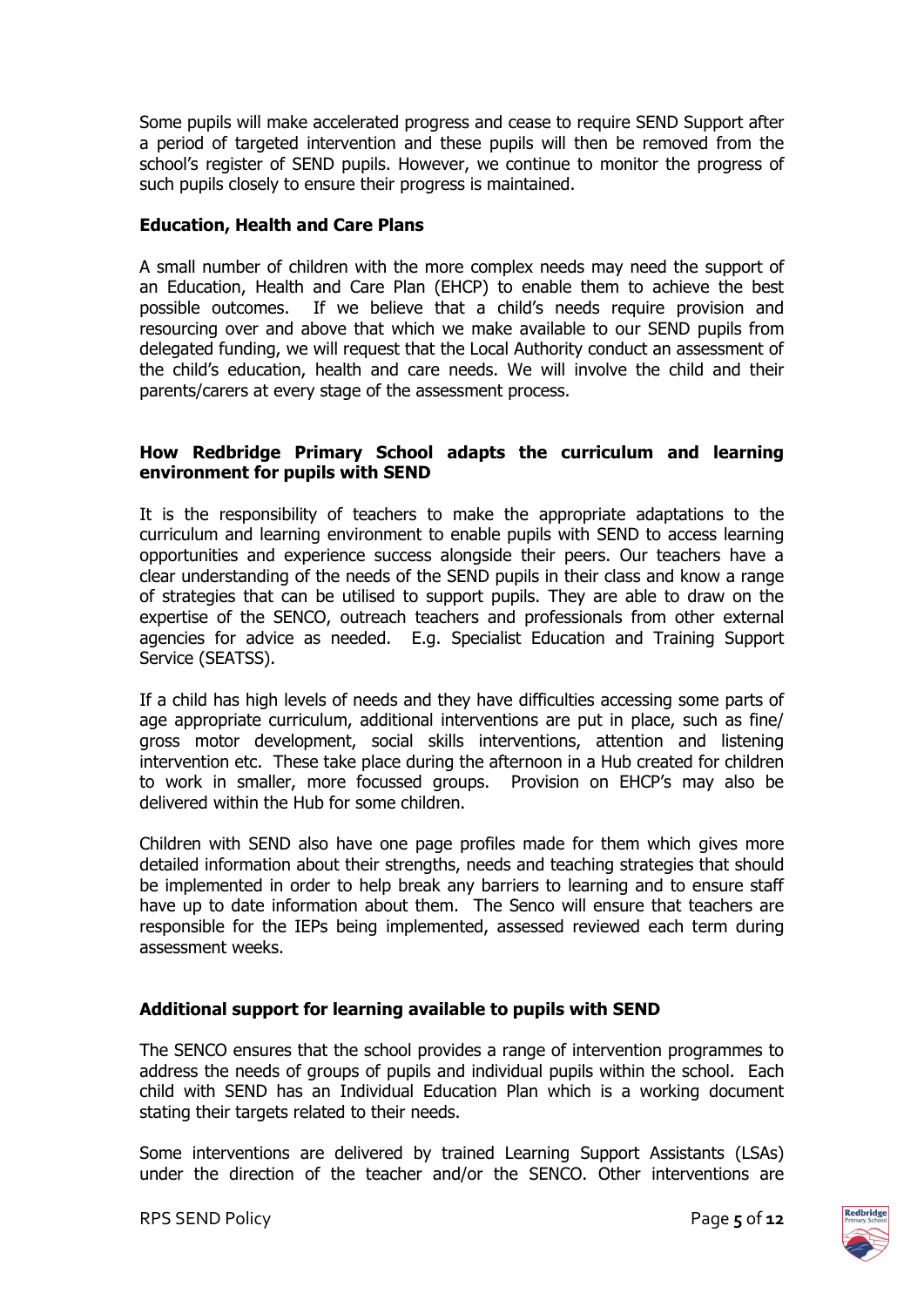Some pupils will make accelerated progress and cease to require SEND Support after a period of targeted intervention and these pupils will then be removed from the school's register of SEND pupils. However, we continue to monitor the progress of such pupils closely to ensure their progress is maintained.

#### **Education, Health and Care Plans**

A small number of children with the more complex needs may need the support of an Education, Health and Care Plan (EHCP) to enable them to achieve the best possible outcomes. If we believe that a child's needs require provision and resourcing over and above that which we make available to our SEND pupils from delegated funding, we will request that the Local Authority conduct an assessment of the child's education, health and care needs. We will involve the child and their parents/carers at every stage of the assessment process.

#### **How Redbridge Primary School adapts the curriculum and learning environment for pupils with SEND**

It is the responsibility of teachers to make the appropriate adaptations to the curriculum and learning environment to enable pupils with SEND to access learning opportunities and experience success alongside their peers. Our teachers have a clear understanding of the needs of the SEND pupils in their class and know a range of strategies that can be utilised to support pupils. They are able to draw on the expertise of the SENCO, outreach teachers and professionals from other external agencies for advice as needed. E.g. Specialist Education and Training Support Service (SEATSS).

If a child has high levels of needs and they have difficulties accessing some parts of age appropriate curriculum, additional interventions are put in place, such as fine/ gross motor development, social skills interventions, attention and listening intervention etc. These take place during the afternoon in a Hub created for children to work in smaller, more focussed groups. Provision on EHCP's may also be delivered within the Hub for some children.

Children with SEND also have one page profiles made for them which gives more detailed information about their strengths, needs and teaching strategies that should be implemented in order to help break any barriers to learning and to ensure staff have up to date information about them. The Senco will ensure that teachers are responsible for the IEPs being implemented, assessed reviewed each term during assessment weeks.

#### **Additional support for learning available to pupils with SEND**

The SENCO ensures that the school provides a range of intervention programmes to address the needs of groups of pupils and individual pupils within the school. Each child with SEND has an Individual Education Plan which is a working document stating their targets related to their needs.

Some interventions are delivered by trained Learning Support Assistants (LSAs) under the direction of the teacher and/or the SENCO. Other interventions are

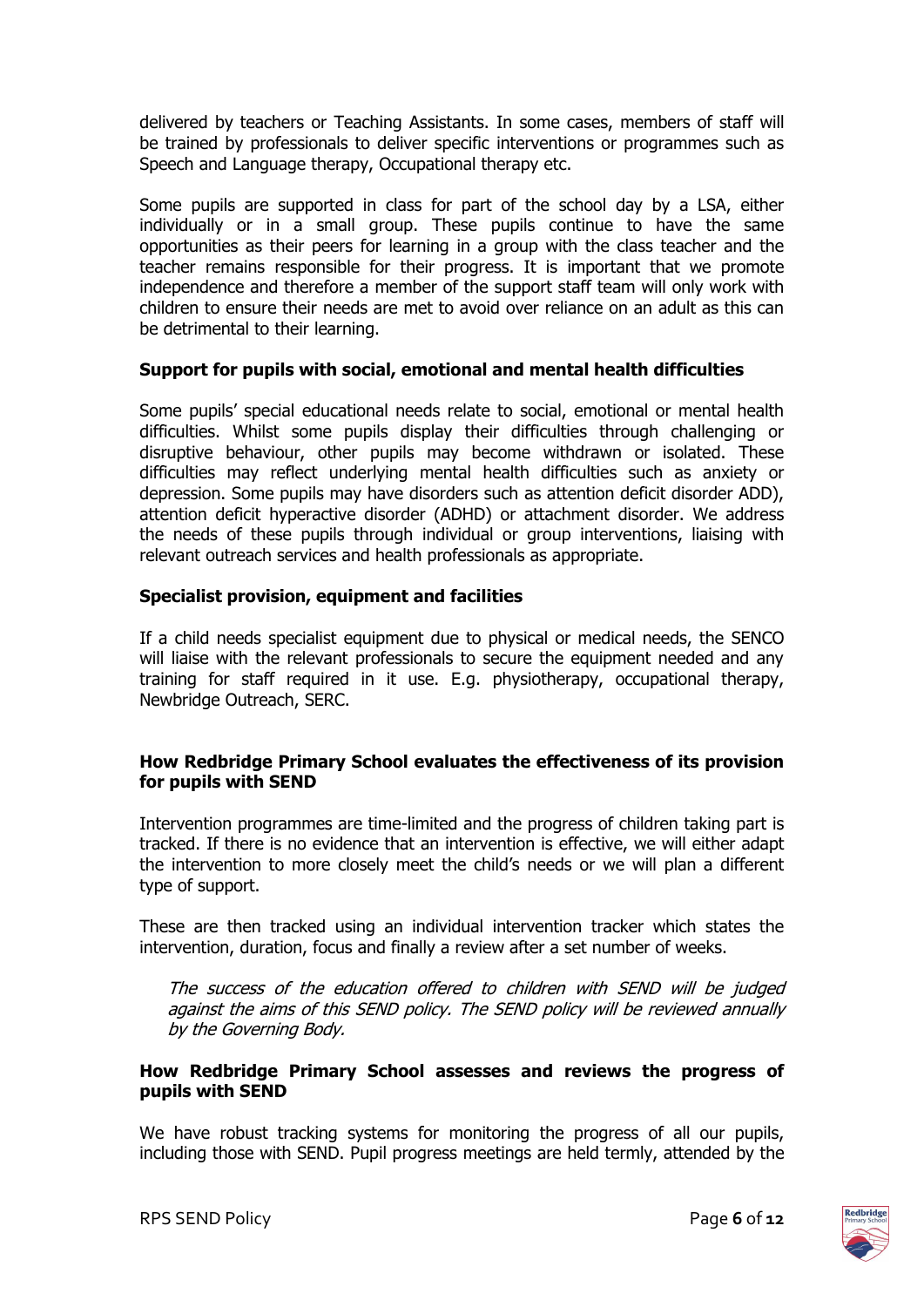delivered by teachers or Teaching Assistants. In some cases, members of staff will be trained by professionals to deliver specific interventions or programmes such as Speech and Language therapy, Occupational therapy etc.

Some pupils are supported in class for part of the school day by a LSA, either individually or in a small group. These pupils continue to have the same opportunities as their peers for learning in a group with the class teacher and the teacher remains responsible for their progress. It is important that we promote independence and therefore a member of the support staff team will only work with children to ensure their needs are met to avoid over reliance on an adult as this can be detrimental to their learning.

#### **Support for pupils with social, emotional and mental health difficulties**

Some pupils' special educational needs relate to social, emotional or mental health difficulties. Whilst some pupils display their difficulties through challenging or disruptive behaviour, other pupils may become withdrawn or isolated. These difficulties may reflect underlying mental health difficulties such as anxiety or depression. Some pupils may have disorders such as attention deficit disorder ADD), attention deficit hyperactive disorder (ADHD) or attachment disorder. We address the needs of these pupils through individual or group interventions, liaising with relevant outreach services and health professionals as appropriate.

#### **Specialist provision, equipment and facilities**

If a child needs specialist equipment due to physical or medical needs, the SENCO will liaise with the relevant professionals to secure the equipment needed and any training for staff required in it use. E.g. physiotherapy, occupational therapy, Newbridge Outreach, SERC.

#### **How Redbridge Primary School evaluates the effectiveness of its provision for pupils with SEND**

Intervention programmes are time-limited and the progress of children taking part is tracked. If there is no evidence that an intervention is effective, we will either adapt the intervention to more closely meet the child's needs or we will plan a different type of support.

These are then tracked using an individual intervention tracker which states the intervention, duration, focus and finally a review after a set number of weeks.

The success of the education offered to children with SEND will be judged against the aims of this SEND policy. The SEND policy will be reviewed annually by the Governing Body.

#### **How Redbridge Primary School assesses and reviews the progress of pupils with SEND**

We have robust tracking systems for monitoring the progress of all our pupils, including those with SEND. Pupil progress meetings are held termly, attended by the

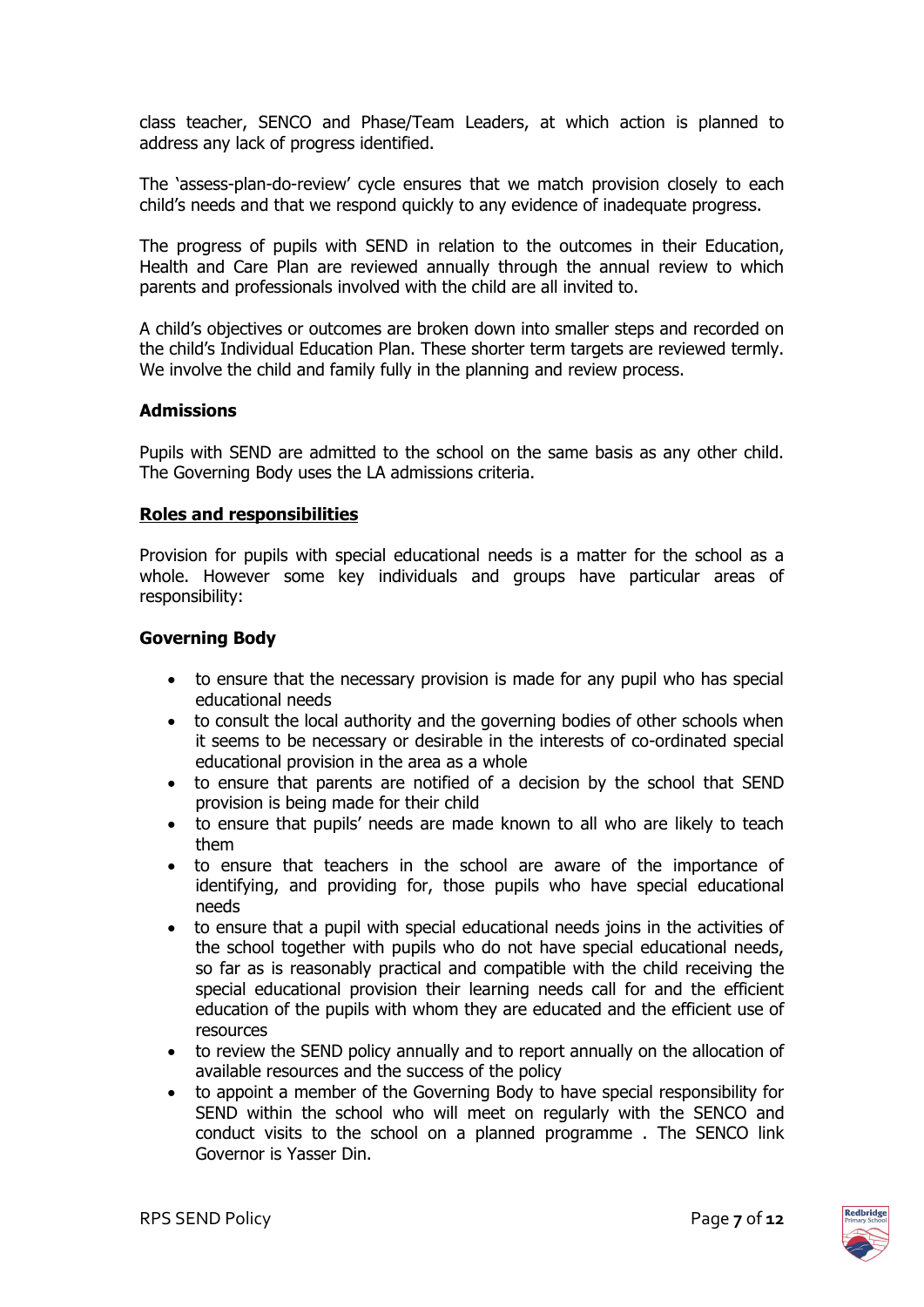class teacher, SENCO and Phase/Team Leaders, at which action is planned to address any lack of progress identified.

The 'assess-plan-do-review' cycle ensures that we match provision closely to each child's needs and that we respond quickly to any evidence of inadequate progress.

The progress of pupils with SEND in relation to the outcomes in their Education, Health and Care Plan are reviewed annually through the annual review to which parents and professionals involved with the child are all invited to.

A child's objectives or outcomes are broken down into smaller steps and recorded on the child's Individual Education Plan. These shorter term targets are reviewed termly. We involve the child and family fully in the planning and review process.

#### **Admissions**

Pupils with SEND are admitted to the school on the same basis as any other child. The Governing Body uses the LA admissions criteria.

#### **Roles and responsibilities**

Provision for pupils with special educational needs is a matter for the school as a whole. However some key individuals and groups have particular areas of responsibility:

#### **Governing Body**

- to ensure that the necessary provision is made for any pupil who has special educational needs
- to consult the local authority and the governing bodies of other schools when it seems to be necessary or desirable in the interests of co-ordinated special educational provision in the area as a whole
- to ensure that parents are notified of a decision by the school that SEND provision is being made for their child
- to ensure that pupils' needs are made known to all who are likely to teach them
- to ensure that teachers in the school are aware of the importance of identifying, and providing for, those pupils who have special educational needs
- to ensure that a pupil with special educational needs joins in the activities of the school together with pupils who do not have special educational needs, so far as is reasonably practical and compatible with the child receiving the special educational provision their learning needs call for and the efficient education of the pupils with whom they are educated and the efficient use of resources
- to review the SEND policy annually and to report annually on the allocation of available resources and the success of the policy
- to appoint a member of the Governing Body to have special responsibility for SEND within the school who will meet on regularly with the SENCO and conduct visits to the school on a planned programme . The SENCO link Governor is Yasser Din.

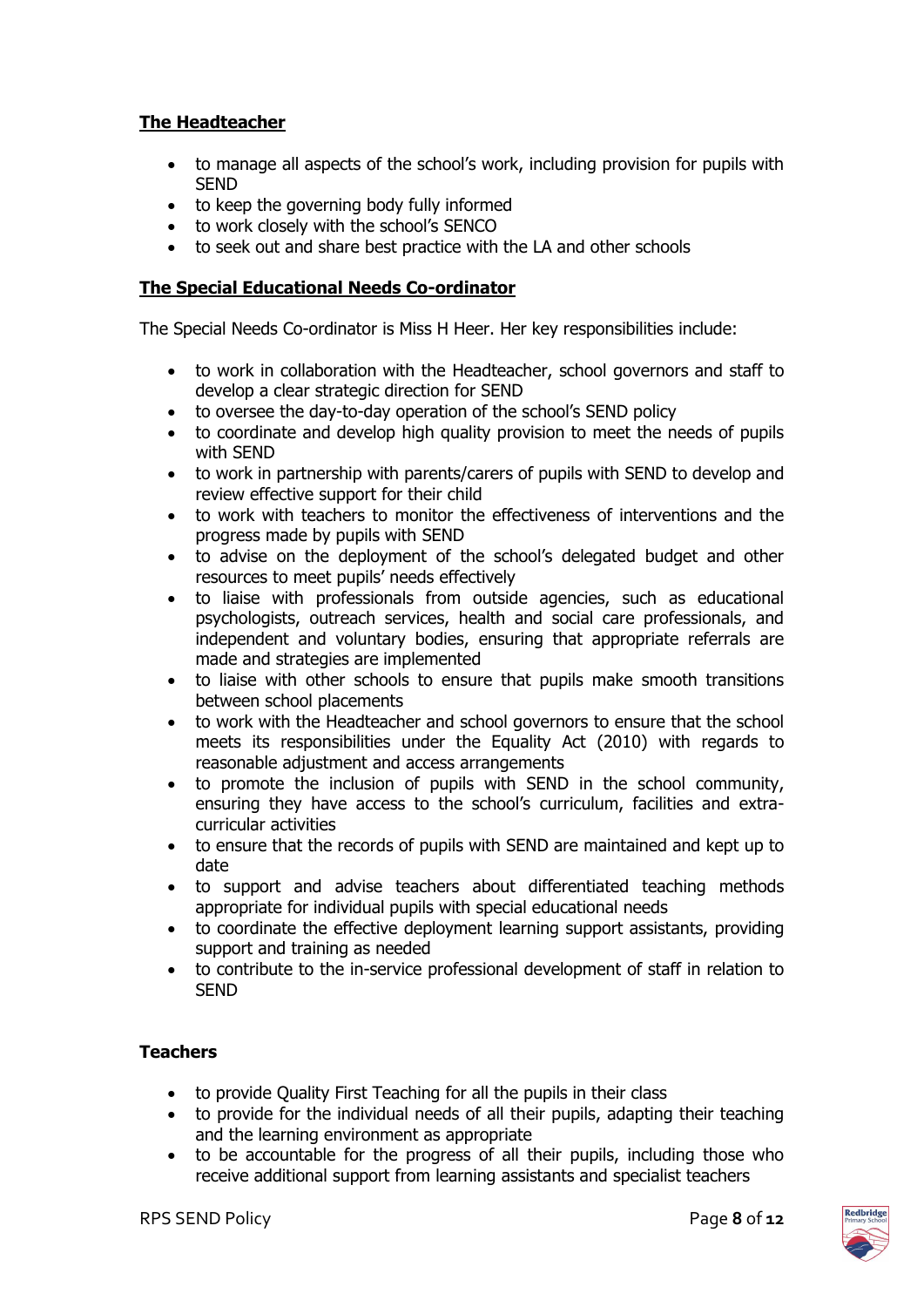#### **The Headteacher**

- to manage all aspects of the school's work, including provision for pupils with **SEND**
- to keep the governing body fully informed
- to work closely with the school's SENCO
- to seek out and share best practice with the LA and other schools

#### **The Special Educational Needs Co-ordinator**

The Special Needs Co-ordinator is Miss H Heer. Her key responsibilities include:

- to work in collaboration with the Headteacher, school governors and staff to develop a clear strategic direction for SEND
- to oversee the day-to-day operation of the school's SEND policy
- to coordinate and develop high quality provision to meet the needs of pupils with SEND
- to work in partnership with parents/carers of pupils with SEND to develop and review effective support for their child
- to work with teachers to monitor the effectiveness of interventions and the progress made by pupils with SEND
- to advise on the deployment of the school's delegated budget and other resources to meet pupils' needs effectively
- to liaise with professionals from outside agencies, such as educational psychologists, outreach services, health and social care professionals, and independent and voluntary bodies, ensuring that appropriate referrals are made and strategies are implemented
- to liaise with other schools to ensure that pupils make smooth transitions between school placements
- to work with the Headteacher and school governors to ensure that the school meets its responsibilities under the Equality Act (2010) with regards to reasonable adjustment and access arrangements
- to promote the inclusion of pupils with SEND in the school community, ensuring they have access to the school's curriculum, facilities and extracurricular activities
- to ensure that the records of pupils with SEND are maintained and kept up to date
- to support and advise teachers about differentiated teaching methods appropriate for individual pupils with special educational needs
- to coordinate the effective deployment learning support assistants, providing support and training as needed
- to contribute to the in-service professional development of staff in relation to SEND

#### **Teachers**

- to provide Quality First Teaching for all the pupils in their class
- to provide for the individual needs of all their pupils, adapting their teaching and the learning environment as appropriate
- to be accountable for the progress of all their pupils, including those who receive additional support from learning assistants and specialist teachers

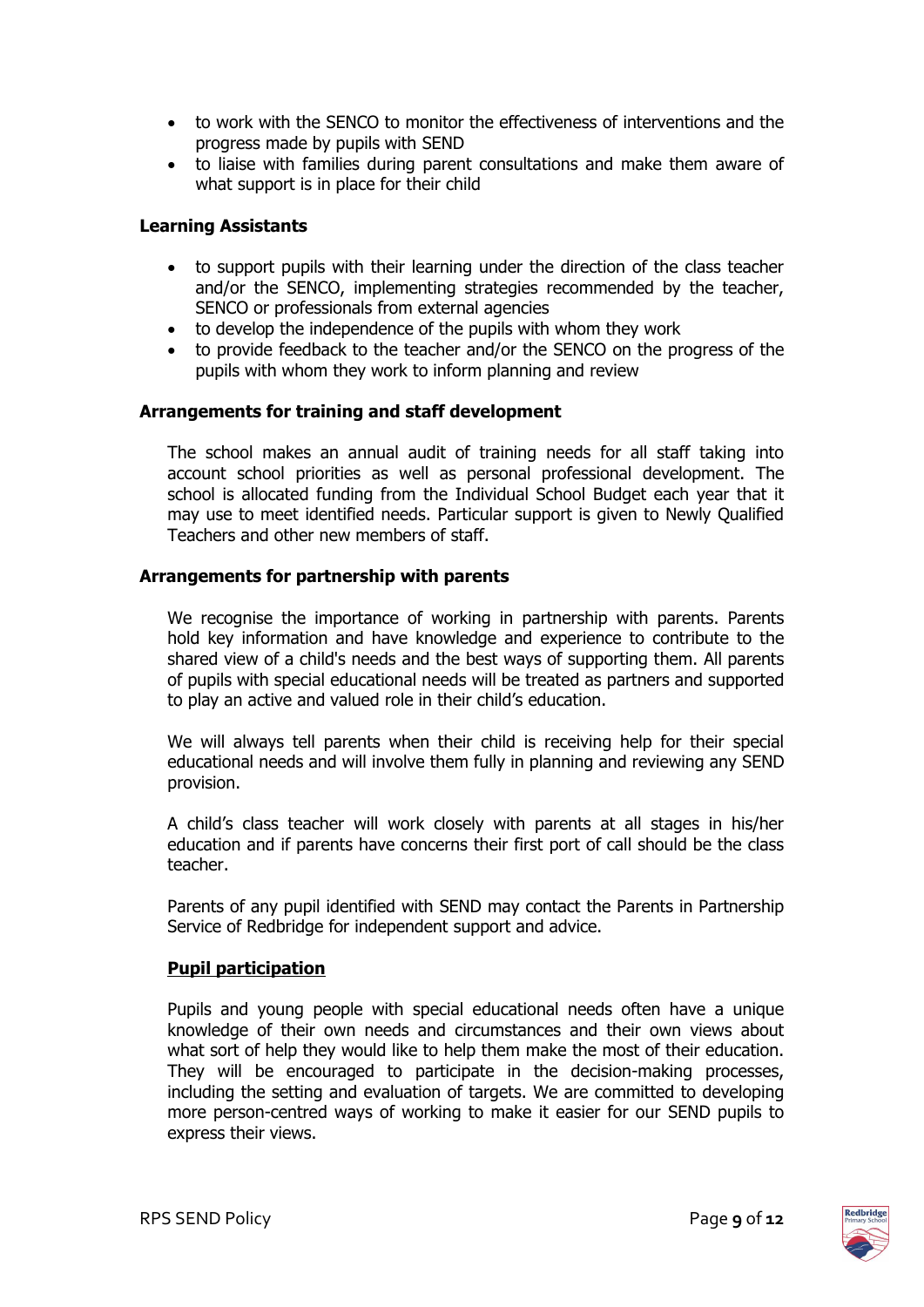- to work with the SENCO to monitor the effectiveness of interventions and the progress made by pupils with SEND
- to liaise with families during parent consultations and make them aware of what support is in place for their child

#### **Learning Assistants**

- to support pupils with their learning under the direction of the class teacher and/or the SENCO, implementing strategies recommended by the teacher, SENCO or professionals from external agencies
- to develop the independence of the pupils with whom they work
- to provide feedback to the teacher and/or the SENCO on the progress of the pupils with whom they work to inform planning and review

#### **Arrangements for training and staff development**

The school makes an annual audit of training needs for all staff taking into account school priorities as well as personal professional development. The school is allocated funding from the Individual School Budget each year that it may use to meet identified needs. Particular support is given to Newly Qualified Teachers and other new members of staff.

#### **Arrangements for partnership with parents**

We recognise the importance of working in partnership with parents. Parents hold key information and have knowledge and experience to contribute to the shared view of a child's needs and the best ways of supporting them. All parents of pupils with special educational needs will be treated as partners and supported to play an active and valued role in their child's education.

We will always tell parents when their child is receiving help for their special educational needs and will involve them fully in planning and reviewing any SEND provision.

A child's class teacher will work closely with parents at all stages in his/her education and if parents have concerns their first port of call should be the class teacher.

Parents of any pupil identified with SEND may contact the Parents in Partnership Service of Redbridge for independent support and advice.

#### **Pupil participation**

Pupils and young people with special educational needs often have a unique knowledge of their own needs and circumstances and their own views about what sort of help they would like to help them make the most of their education. They will be encouraged to participate in the decision-making processes, including the setting and evaluation of targets. We are committed to developing more person-centred ways of working to make it easier for our SEND pupils to express their views.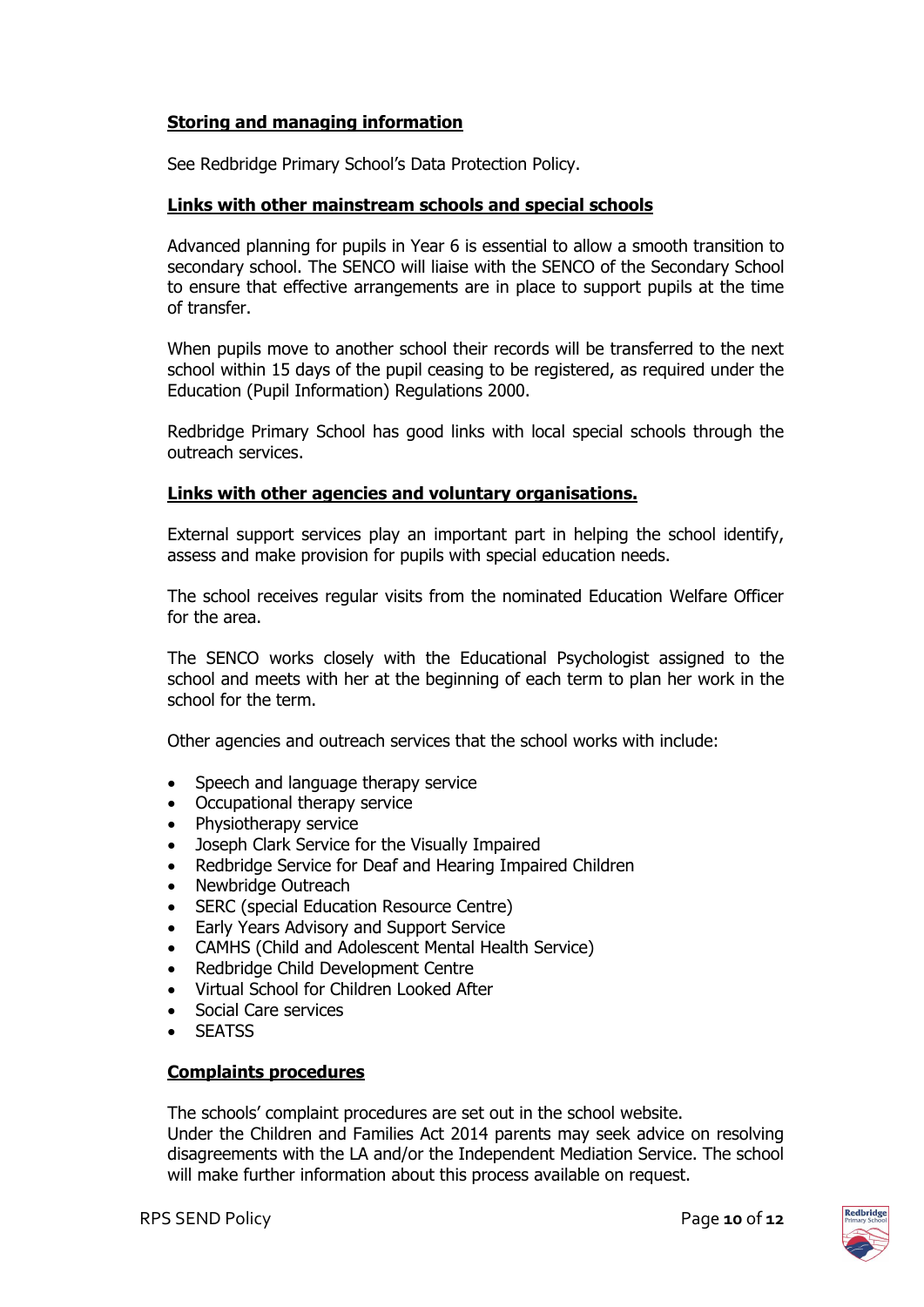#### **Storing and managing information**

See Redbridge Primary School's Data Protection Policy.

#### **Links with other mainstream schools and special schools**

Advanced planning for pupils in Year 6 is essential to allow a smooth transition to secondary school. The SENCO will liaise with the SENCO of the Secondary School to ensure that effective arrangements are in place to support pupils at the time of transfer.

When pupils move to another school their records will be transferred to the next school within 15 days of the pupil ceasing to be registered, as required under the Education (Pupil Information) Regulations 2000.

Redbridge Primary School has good links with local special schools through the outreach services.

#### **Links with other agencies and voluntary organisations.**

External support services play an important part in helping the school identify, assess and make provision for pupils with special education needs.

The school receives regular visits from the nominated Education Welfare Officer for the area.

The SENCO works closely with the Educational Psychologist assigned to the school and meets with her at the beginning of each term to plan her work in the school for the term.

Other agencies and outreach services that the school works with include:

- Speech and language therapy service
- Occupational therapy service
- Physiotherapy service
- Joseph Clark Service for the Visually Impaired
- Redbridge Service for Deaf and Hearing Impaired Children
- Newbridge Outreach
- SERC (special Education Resource Centre)
- Early Years Advisory and Support Service
- CAMHS (Child and Adolescent Mental Health Service)
- Redbridge Child Development Centre
- Virtual School for Children Looked After
- Social Care services
- **SEATSS**

#### **Complaints procedures**

The schools' complaint procedures are set out in the school website. Under the Children and Families Act 2014 parents may seek advice on resolving disagreements with the LA and/or the Independent Mediation Service. The school will make further information about this process available on request.

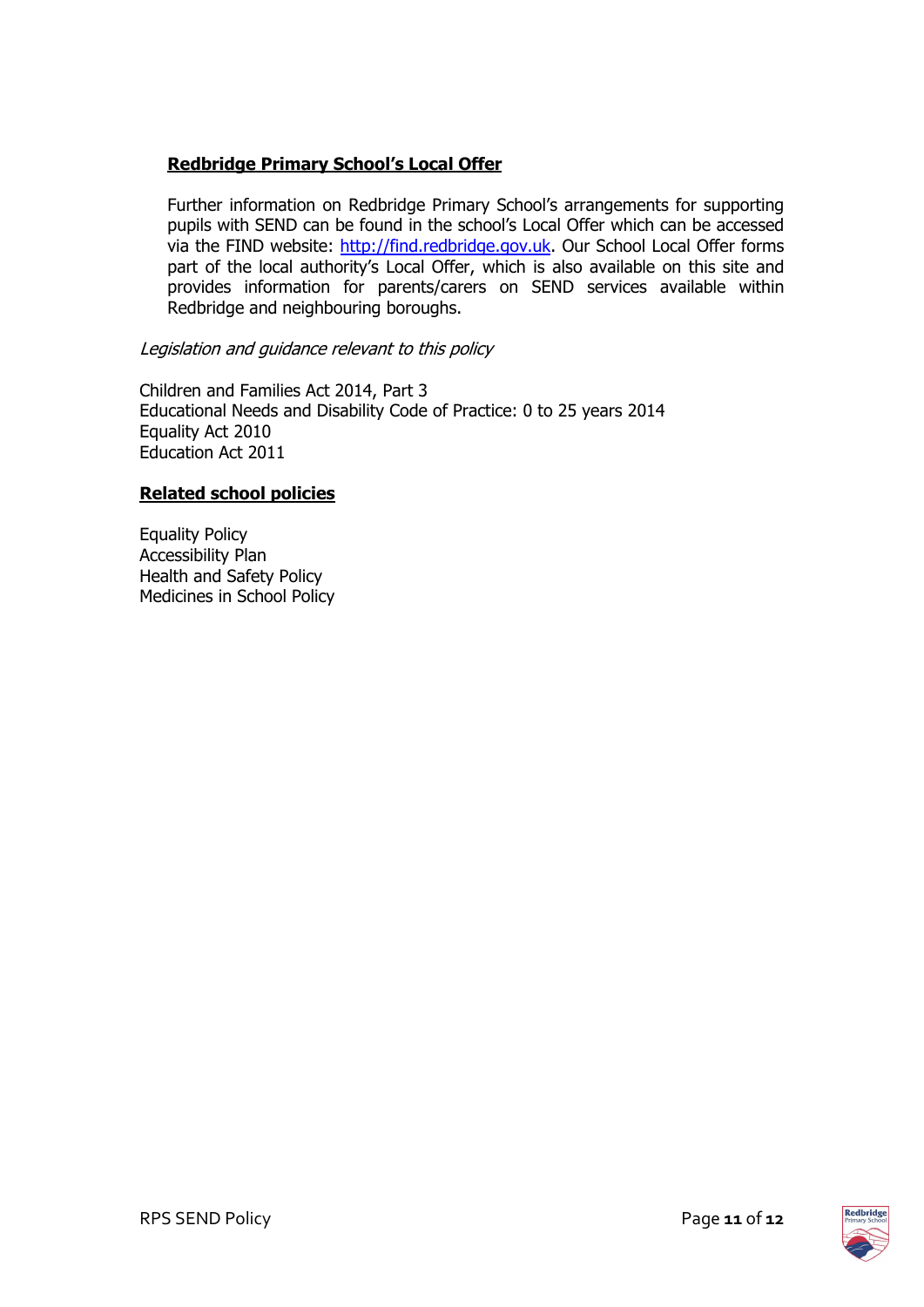#### **Redbridge Primary School's Local Offer**

Further information on Redbridge Primary School's arrangements for supporting pupils with SEND can be found in the school's Local Offer which can be accessed via the FIND website: [http://find.redbridge.gov.uk.](http://find.redbridge.gov.uk/) Our School Local Offer forms part of the local authority's Local Offer, which is also available on this site and provides information for parents/carers on SEND services available within Redbridge and neighbouring boroughs.

#### Legislation and guidance relevant to this policy

Children and Families Act 2014, Part 3 Educational Needs and Disability Code of Practice: 0 to 25 years 2014 Equality Act 2010 Education Act 2011

#### **Related school policies**

Equality Policy Accessibility Plan Health and Safety Policy Medicines in School Policy